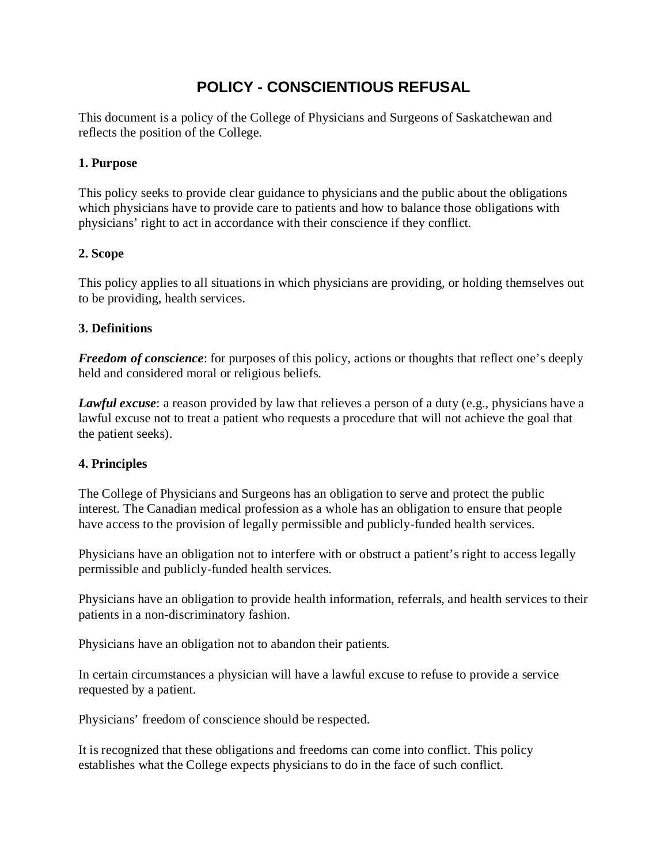# **POLICY - CONSCIENTIOUS REFUSAL**

This document is a policy of the College of Physicians and Surgeons of Saskatchewan and reflects the position of the College.

## **1. Purpose**

This policy seeks to provide clear guidance to physicians and the public about the obligations which physicians have to provide care to patients and how to balance those obligations with physicians' right to act in accordance with their conscience if they conflict.

## **2. Scope**

This policy applies to all situations in which physicians are providing, or holding themselves out to be providing, health services.

## **3. Definitions**

*Freedom of conscience*: for purposes of this policy, actions or thoughts that reflect one's deeply held and considered moral or religious beliefs.

*Lawful excuse*: a reason provided by law that relieves a person of a duty (e.g., physicians have a lawful excuse not to treat a patient who requests a procedure that will not achieve the goal that the patient seeks).

# **4. Principles**

The College of Physicians and Surgeons has an obligation to serve and protect the public interest. The Canadian medical profession as a whole has an obligation to ensure that people have access to the provision of legally permissible and publicly-funded health services.

Physicians have an obligation not to interfere with or obstruct a patient's right to access legally permissible and publicly-funded health services.

Physicians have an obligation to provide health information, referrals, and health services to their patients in a non-discriminatory fashion.

Physicians have an obligation not to abandon their patients.

In certain circumstances a physician will have a lawful excuse to refuse to provide a service requested by a patient.

Physicians' freedom of conscience should be respected.

It is recognized that these obligations and freedoms can come into conflict. This policy establishes what the College expects physicians to do in the face of such conflict.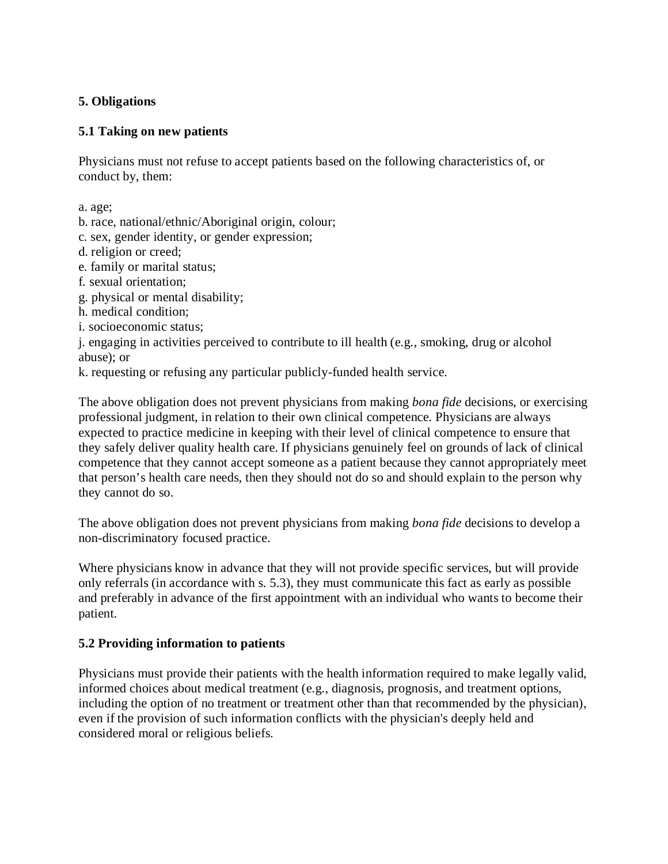# **5. Obligations**

## **5.1 Taking on new patients**

Physicians must not refuse to accept patients based on the following characteristics of, or conduct by, them:

a. age;

- b. race, national/ethnic/Aboriginal origin, colour;
- c. sex, gender identity, or gender expression;
- d. religion or creed;
- e. family or marital status;
- f. sexual orientation;
- g. physical or mental disability;
- h. medical condition;
- i. socioeconomic status;

j. engaging in activities perceived to contribute to ill health (e.g., smoking, drug or alcohol abuse); or

k. requesting or refusing any particular publicly-funded health service.

The above obligation does not prevent physicians from making *bona fide* decisions, or exercising professional judgment, in relation to their own clinical competence. Physicians are always expected to practice medicine in keeping with their level of clinical competence to ensure that they safely deliver quality health care. If physicians genuinely feel on grounds of lack of clinical competence that they cannot accept someone as a patient because they cannot appropriately meet that person's health care needs, then they should not do so and should explain to the person why they cannot do so.

The above obligation does not prevent physicians from making *bona fide* decisions to develop a non-discriminatory focused practice.

Where physicians know in advance that they will not provide specific services, but will provide only referrals (in accordance with s. 5.3), they must communicate this fact as early as possible and preferably in advance of the first appointment with an individual who wants to become their patient.

# **5.2 Providing information to patients**

Physicians must provide their patients with the health information required to make legally valid, informed choices about medical treatment (e.g., diagnosis, prognosis, and treatment options, including the option of no treatment or treatment other than that recommended by the physician), even if the provision of such information conflicts with the physician's deeply held and considered moral or religious beliefs.